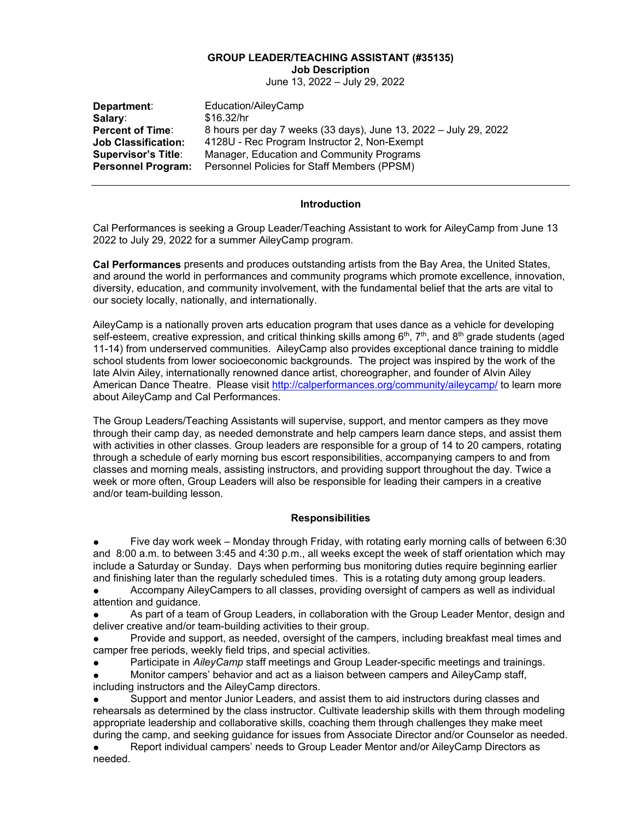#### **GROUP LEADER/TEACHING ASSISTANT (#35135) Job Description**

June 13, 2022 – July 29, 2022

| Department:                | Education/AileyCamp                                              |
|----------------------------|------------------------------------------------------------------|
| Salary:                    | \$16.32/hr                                                       |
| <b>Percent of Time:</b>    | 8 hours per day 7 weeks (33 days), June 13, 2022 – July 29, 2022 |
| <b>Job Classification:</b> | 4128U - Rec Program Instructor 2, Non-Exempt                     |
| <b>Supervisor's Title:</b> | Manager, Education and Community Programs                        |
| <b>Personnel Program:</b>  | Personnel Policies for Staff Members (PPSM)                      |

### **Introduction**

Cal Performances is seeking a Group Leader/Teaching Assistant to work for AileyCamp from June 13 2022 to July 29, 2022 for a summer AileyCamp program.

**Cal Performances** presents and produces outstanding artists from the Bay Area, the United States, and around the world in performances and community programs which promote excellence, innovation, diversity, education, and community involvement, with the fundamental belief that the arts are vital to our society locally, nationally, and internationally.

AileyCamp is a nationally proven arts education program that uses dance as a vehicle for developing self-esteem, creative expression, and critical thinking skills among  $6<sup>th</sup>$ ,  $7<sup>th</sup>$ , and  $8<sup>th</sup>$  grade students (aged 11-14) from underserved communities. AileyCamp also provides exceptional dance training to middle school students from lower socioeconomic backgrounds. The project was inspired by the work of the late Alvin Ailey, internationally renowned dance artist, choreographer, and founder of Alvin Ailey American Dance Theatre. Please visit<http://calperformances.org/community/aileycamp/> to learn more about AileyCamp and Cal Performances.

The Group Leaders/Teaching Assistants will supervise, support, and mentor campers as they move through their camp day, as needed demonstrate and help campers learn dance steps, and assist them with activities in other classes. Group leaders are responsible for a group of 14 to 20 campers, rotating through a schedule of early morning bus escort responsibilities, accompanying campers to and from classes and morning meals, assisting instructors, and providing support throughout the day. Twice a week or more often, Group Leaders will also be responsible for leading their campers in a creative and/or team-building lesson.

### **Responsibilities**

Five day work week – Monday through Friday, with rotating early morning calls of between 6:30 and 8:00 a.m. to between 3:45 and 4:30 p.m., all weeks except the week of staff orientation which may include a Saturday or Sunday. Days when performing bus monitoring duties require beginning earlier and finishing later than the regularly scheduled times. This is a rotating duty among group leaders.

Accompany AileyCampers to all classes, providing oversight of campers as well as individual attention and guidance.

As part of a team of Group Leaders, in collaboration with the Group Leader Mentor, design and deliver creative and/or team-building activities to their group.

Provide and support, as needed, oversight of the campers, including breakfast meal times and camper free periods, weekly field trips, and special activities.

Participate in *AileyCamp* staff meetings and Group Leader-specific meetings and trainings.

Monitor campers' behavior and act as a liaison between campers and AileyCamp staff, including instructors and the AileyCamp directors.

Support and mentor Junior Leaders, and assist them to aid instructors during classes and rehearsals as determined by the class instructor. Cultivate leadership skills with them through modeling appropriate leadership and collaborative skills, coaching them through challenges they make meet during the camp, and seeking guidance for issues from Associate Director and/or Counselor as needed.

Report individual campers' needs to Group Leader Mentor and/or AileyCamp Directors as needed.